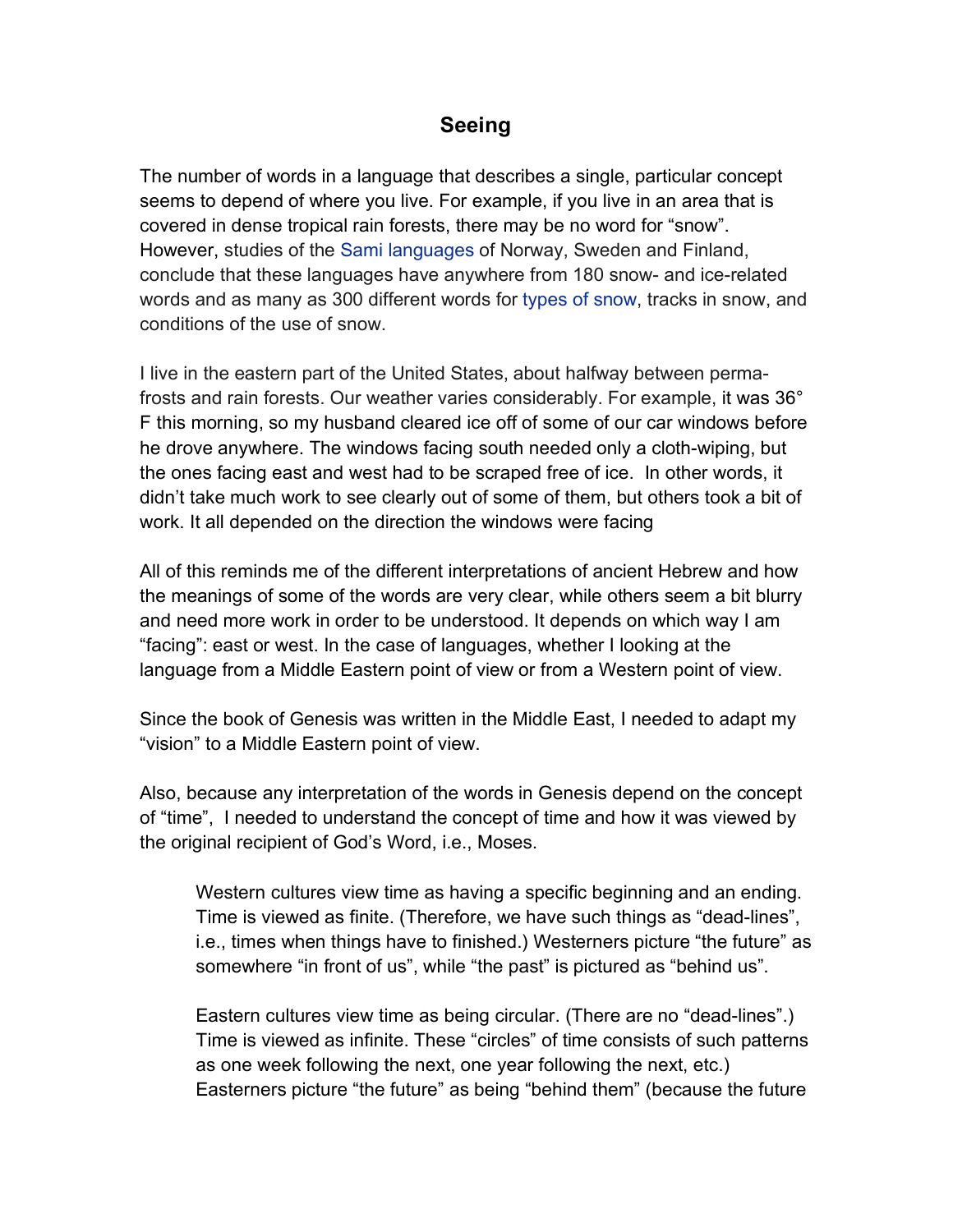## **Seeing**

The number of words in a language that describes a single, particular concept seems to depend of where you live. For example, if you live in an area that is covered in dense tropical rain forests, there may be no word for "snow". However, studies of the Sami languages of Norway, Sweden and Finland, conclude that these languages have anywhere from 180 snow- and ice-related words and as many as 300 different words for types of snow, tracks in snow, and conditions of the use of snow.

I live in the eastern part of the United States, about halfway between permafrosts and rain forests. Our weather varies considerably. For example, it was 36° F this morning, so my husband cleared ice off of some of our car windows before he drove anywhere. The windows facing south needed only a cloth-wiping, but the ones facing east and west had to be scraped free of ice. In other words, it didn't take much work to see clearly out of some of them, but others took a bit of work. It all depended on the direction the windows were facing

All of this reminds me of the different interpretations of ancient Hebrew and how the meanings of some of the words are very clear, while others seem a bit blurry and need more work in order to be understood. It depends on which way I am "facing": east or west. In the case of languages, whether I looking at the language from a Middle Eastern point of view or from a Western point of view.

Since the book of Genesis was written in the Middle East, I needed to adapt my "vision" to a Middle Eastern point of view.

Also, because any interpretation of the words in Genesis depend on the concept of "time", I needed to understand the concept of time and how it was viewed by the original recipient of God's Word, i.e., Moses.

Western cultures view time as having a specific beginning and an ending. Time is viewed as finite. (Therefore, we have such things as "dead-lines", i.e., times when things have to finished.) Westerners picture "the future" as somewhere "in front of us", while "the past" is pictured as "behind us".

Eastern cultures view time as being circular. (There are no "dead-lines".) Time is viewed as infinite. These "circles" of time consists of such patterns as one week following the next, one year following the next, etc.) Easterners picture "the future" as being "behind them" (because the future